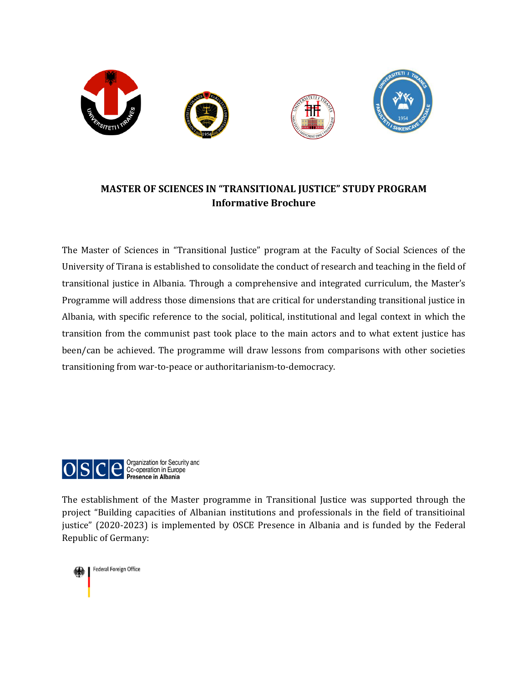

## **MASTER OF SCIENCES IN "TRANSITIONAL JUSTICE" STUDY PROGRAM Informative Brochure**

The Master of Sciences in "Transitional Justice" program at the Faculty of Social Sciences of the University of Tirana is established to consolidate the conduct of research and teaching in the field of transitional justice in Albania. Through a comprehensive and integrated curriculum, the Master's Programme will address those dimensions that are critical for understanding transitional justice in Albania, with specific reference to the social, political, institutional and legal context in which the transition from the communist past took place to the main actors and to what extent justice has been/can be achieved. The programme will draw lessons from comparisons with other societies transitioning from war-to-peace or authoritarianism-to-democracy.



The establishment of the Master programme in Transitional Justice was supported through the project "Building capacities of Albanian institutions and professionals in the field of transitioinal justice" (2020-2023) is implemented by OSCE Presence in Albania and is funded by the Federal Republic of Germany:

Federal Foreign Office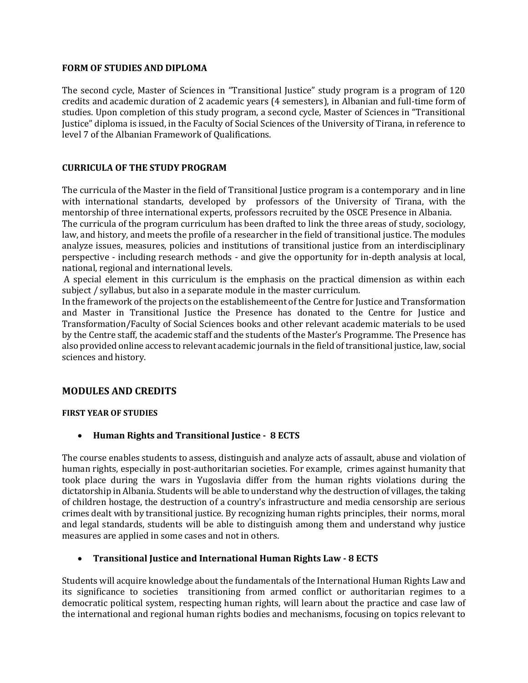#### **FORM OF STUDIES AND DIPLOMA**

The second cycle, Master of Sciences in "Transitional Justice" study program is a program of 120 credits and academic duration of 2 academic years (4 semesters), in Albanian and full-time form of studies. Upon completion of this study program, a second cycle, Master of Sciences in "Transitional Justice" diploma is issued, in the Faculty of Social Sciences of the University of Tirana, in reference to level 7 of the Albanian Framework of Qualifications.

#### **CURRICULA OF THE STUDY PROGRAM**

The curricula of the Master in the field of Transitional Justice program is a contemporary and in line with international standarts, developed by professors of the University of Tirana, with the mentorship of three international experts, professors recruited by the OSCE Presence in Albania.

The curricula of the program curriculum has been drafted to link the three areas of study, sociology, law, and history, and meets the profile of a researcher in the field of transitional justice. The modules analyze issues, measures, policies and institutions of transitional justice from an interdisciplinary perspective - including research methods - and give the opportunity for in-depth analysis at local, national, regional and international levels.

A special element in this curriculum is the emphasis on the practical dimension as within each subject / syllabus, but also in a separate module in the master curriculum.

In the framework of the projects on the establishemeent of the Centre for Justice and Transformation and Master in Transitional Justice the Presence has donated to the Centre for Justice and Transformation/Faculty of Social Sciences books and other relevant academic materials to be used by the Centre staff, the academic staff and the students of the Master's Programme. The Presence has also provided online access to relevant academic journals in the field of transitional justice, law, social sciences and history.

### **MODULES AND CREDITS**

#### **FIRST YEAR OF STUDIES**

• **Human Rights and Transitional Justice - 8 ECTS**

The course enables students to assess, distinguish and analyze acts of assault, abuse and violation of human rights, especially in post-authoritarian societies. For example, crimes against humanity that took place during the wars in Yugoslavia differ from the human rights violations during the dictatorship in Albania. Students will be able to understand why the destruction of villages, the taking of children hostage, the destruction of a country's infrastructure and media censorship are serious crimes dealt with by transitional justice. By recognizing human rights principles, their norms, moral and legal standards, students will be able to distinguish among them and understand why justice measures are applied in some cases and not in others.

### • **Transitional Justice and International Human Rights Law - 8 ECTS**

Students will acquire knowledge about the fundamentals of the International Human Rights Law and its significance to societies transitioning from armed conflict or authoritarian regimes to a democratic political system, respecting human rights, will learn about the practice and case law of the international and regional human rights bodies and mechanisms, focusing on topics relevant to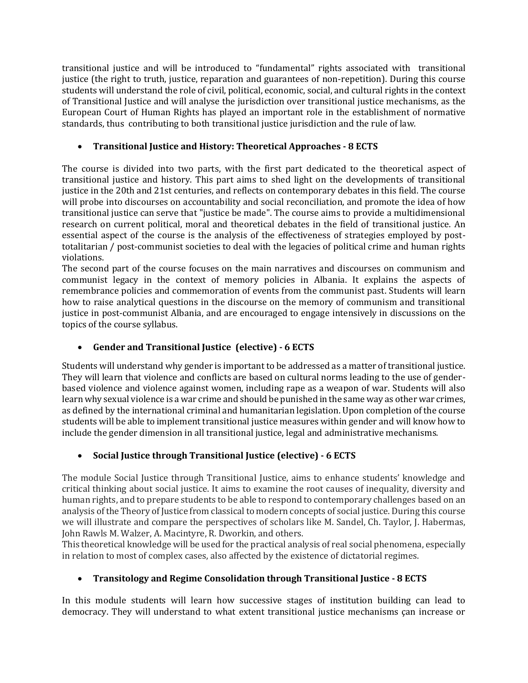transitional justice and will be introduced to "fundamental" rights associated with transitional justice (the right to truth, justice, reparation and guarantees of non-repetition). During this course students will understand the role of civil, political, economic, social, and cultural rights in the context of Transitional Justice and will analyse the jurisdiction over transitional justice mechanisms, as the European Court of Human Rights has played an important role in the establishment of normative standards, thus contributing to both transitional justice jurisdiction and the rule of law.

### • **Transitional Justice and History: Theoretical Approaches - 8 ECTS**

The course is divided into two parts, with the first part dedicated to the theoretical aspect of transitional justice and history. This part aims to shed light on the developments of transitional justice in the 20th and 21st centuries, and reflects on contemporary debates in this field. The course will probe into discourses on accountability and social reconciliation, and promote the idea of how transitional justice can serve that "justice be made". The course aims to provide a multidimensional research on current political, moral and theoretical debates in the field of transitional justice. An essential aspect of the course is the analysis of the effectiveness of strategies employed by posttotalitarian / post-communist societies to deal with the legacies of political crime and human rights violations.

The second part of the course focuses on the main narratives and discourses on communism and communist legacy in the context of memory policies in Albania. It explains the aspects of remembrance policies and commemoration of events from the communist past. Students will learn how to raise analytical questions in the discourse on the memory of communism and transitional justice in post-communist Albania, and are encouraged to engage intensively in discussions on the topics of the course syllabus.

## • **Gender and Transitional Justice (elective) - 6 ECTS**

Students will understand why gender is important to be addressed as a matter of transitional justice. They will learn that violence and conflicts are based on cultural norms leading to the use of genderbased violence and violence against women, including rape as a weapon of war. Students will also learn why sexual violence is a war crime and should be punished in the same way as other war crimes, as defined by the international criminal and humanitarian legislation. Upon completion of the course students will be able to implement transitional justice measures within gender and will know how to include the gender dimension in all transitional justice, legal and administrative mechanisms.

## • **Social Justice through Transitional Justice (elective) - 6 ECTS**

The module Social Justice through Transitional Justice, aims to enhance students' knowledge and critical thinking about social justice. It aims to examine the root causes of inequality, diversity and human rights, and to prepare students to be able to respond to contemporary challenges based on an analysis of the Theory of Justice from classical to modern concepts of social justice. During this course we will illustrate and compare the perspectives of scholars like M. Sandel, Ch. Taylor, J. Habermas, John Rawls M. Walzer, A. Macintyre, R. Dworkin, and others.

This theoretical knowledge will be used for the practical analysis of real social phenomena, especially in relation to most of complex cases, also affected by the existence of dictatorial regimes.

# • **Transitology and Regime Consolidation through Transitional Justice - 8 ECTS**

In this module students will learn how successive stages of institution building can lead to democracy. They will understand to what extent transitional justice mechanisms çan increase or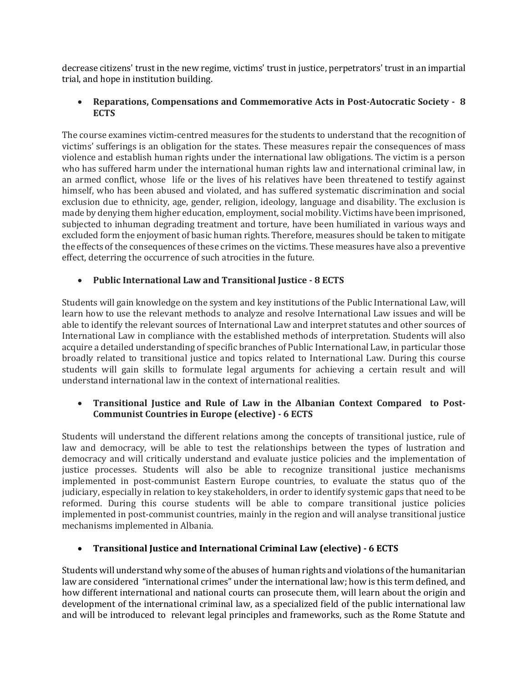decrease citizens' trust in the new regime, victims' trust in justice, perpetrators' trust in an impartial trial, and hope in institution building.

### • **Reparations, Compensations and Commemorative Acts in Post-Autocratic Society - 8 ECTS**

The course examines victim-centred measures for the students to understand that the recognition of victims' sufferings is an obligation for the states. These measures repair the consequences of mass violence and establish human rights under the international law obligations. The victim is a person who has suffered harm under the international human rights law and international criminal law, in an armed conflict, whose life or the lives of his relatives have been threatened to testify against himself, who has been abused and violated, and has suffered systematic discrimination and social exclusion due to ethnicity, age, gender, religion, ideology, language and disability. The exclusion is made by denying them higher education, employment, social mobility. Victims have been imprisoned, subjected to inhuman degrading treatment and torture, have been humiliated in various ways and excluded form the enjoyment of basic human rights. Therefore, measures should be taken to mitigate the effects of the consequences of these crimes on the victims. These measures have also a preventive effect, deterring the occurrence of such atrocities in the future.

## • **Public International Law and Transitional Justice - 8 ECTS**

Students will gain knowledge on the system and key institutions of the Public International Law, will learn how to use the relevant methods to analyze and resolve International Law issues and will be able to identify the relevant sources of International Law and interpret statutes and other sources of International Law in compliance with the established methods of interpretation. Students will also acquire a detailed understanding of specific branches of Public International Law, in particular those broadly related to transitional justice and topics related to International Law. During this course students will gain skills to formulate legal arguments for achieving a certain result and will understand international law in the context of international realities.

## • **Transitional Justice and Rule of Law in the Albanian Context Compared to Post-Communist Countries in Europe (elective) - 6 ECTS**

Students will understand the different relations among the concepts of transitional justice, rule of law and democracy, will be able to test the relationships between the types of lustration and democracy and will critically understand and evaluate justice policies and the implementation of justice processes. Students will also be able to recognize transitional justice mechanisms implemented in post-communist Eastern Europe countries, to evaluate the status quo of the judiciary, especially in relation to key stakeholders, in order to identify systemic gaps that need to be reformed. During this course students will be able to compare transitional justice policies implemented in post-communist countries, mainly in the region and will analyse transitional justice mechanisms implemented in Albania.

## • **Transitional Justice and International Criminal Law (elective) - 6 ECTS**

Students will understand why some of the abuses of human rights and violations of the humanitarian law are considered "international crimes" under the international law; how is this term defined, and how different international and national courts can prosecute them, will learn about the origin and development of the international criminal law, as a specialized field of the public international law and will be introduced to relevant legal principles and frameworks, such as the Rome Statute and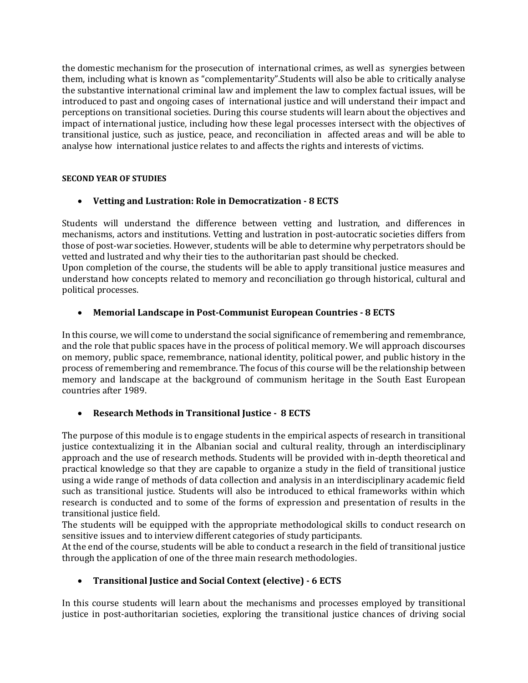the domestic mechanism for the prosecution of international crimes, as well as synergies between them, including what is known as "complementarity".Students will also be able to critically analyse the substantive international criminal law and implement the law to complex factual issues, will be introduced to past and ongoing cases of international justice and will understand their impact and perceptions on transitional societies. During this course students will learn about the objectives and impact of international justice, including how these legal processes intersect with the objectives of transitional justice, such as justice, peace, and reconciliation in affected areas and will be able to analyse how international justice relates to and affects the rights and interests of victims.

### **SECOND YEAR OF STUDIES**

## • **Vetting and Lustration: Role in Democratization - 8 ECTS**

Students will understand the difference between vetting and lustration, and differences in mechanisms, actors and institutions. Vetting and lustration in post-autocratic societies differs from those of post-war societies. However, students will be able to determine why perpetrators should be vetted and lustrated and why their ties to the authoritarian past should be checked.

Upon completion of the course, the students will be able to apply transitional justice measures and understand how concepts related to memory and reconciliation go through historical, cultural and political processes.

## • **Memorial Landscape in Post-Communist European Countries - 8 ECTS**

In this course, we will come to understand the social significance of remembering and remembrance, and the role that public spaces have in the process of political memory. We will approach discourses on memory, public space, remembrance, national identity, political power, and public history in the process of remembering and remembrance. The focus of this course will be the relationship between memory and landscape at the background of communism heritage in the South East European countries after 1989.

## • **Research Methods in Transitional Justice - 8 ECTS**

The purpose of this module is to engage students in the empirical aspects of research in transitional justice contextualizing it in the Albanian social and cultural reality, through an interdisciplinary approach and the use of research methods. Students will be provided with in-depth theoretical and practical knowledge so that they are capable to organize a study in the field of transitional justice using a wide range of methods of data collection and analysis in an interdisciplinary academic field such as transitional justice. Students will also be introduced to ethical frameworks within which research is conducted and to some of the forms of expression and presentation of results in the transitional justice field.

The students will be equipped with the appropriate methodological skills to conduct research on sensitive issues and to interview different categories of study participants.

At the end of the course, students will be able to conduct a research in the field of transitional justice through the application of one of the three main research methodologies.

## • **Transitional Justice and Social Context (elective) - 6 ECTS**

In this course students will learn about the mechanisms and processes employed by transitional justice in post-authoritarian societies, exploring the transitional justice chances of driving social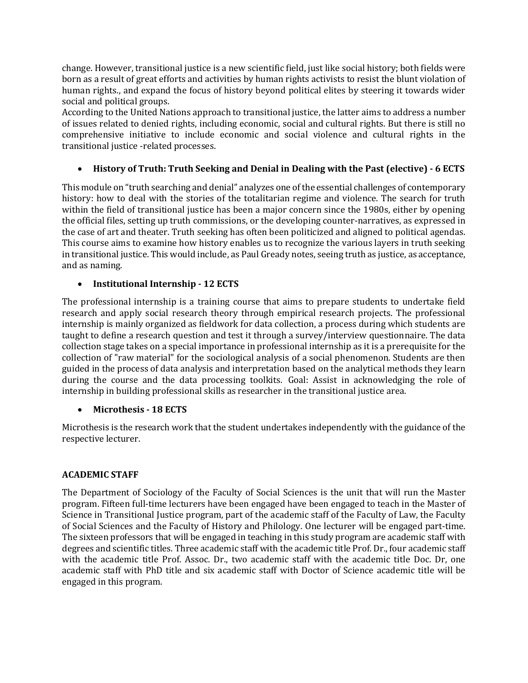change. However, transitional justice is a new scientific field, just like social history; both fields were born as a result of great efforts and activities by human rights activists to resist the blunt violation of human rights., and expand the focus of history beyond political elites by steering it towards wider social and political groups.

According to the United Nations approach to transitional justice, the latter aims to address a number of issues related to denied rights, including economic, social and cultural rights. But there is still no comprehensive initiative to include economic and social violence and cultural rights in the transitional justice -related processes.

## • **History of Truth: Truth Seeking and Denial in Dealing with the Past (elective) - 6 ECTS**

This module on "truth searching and denial" analyzes one of the essential challenges of contemporary history: how to deal with the stories of the totalitarian regime and violence. The search for truth within the field of transitional justice has been a major concern since the 1980s, either by opening the official files, setting up truth commissions, or the developing counter-narratives, as expressed in the case of art and theater. Truth seeking has often been politicized and aligned to political agendas. This course aims to examine how history enables us to recognize the various layers in truth seeking in transitional justice. This would include, as Paul Gready notes, seeing truth as justice, as acceptance, and as naming.

### • **Institutional Internship - 12 ECTS**

The professional internship is a training course that aims to prepare students to undertake field research and apply social research theory through empirical research projects. The professional internship is mainly organized as fieldwork for data collection, a process during which students are taught to define a research question and test it through a survey/interview questionnaire. The data collection stage takes on a special importance in professional internship as it is a prerequisite for the collection of "raw material" for the sociological analysis of a social phenomenon. Students are then guided in the process of data analysis and interpretation based on the analytical methods they learn during the course and the data processing toolkits. Goal: Assist in acknowledging the role of internship in building professional skills as researcher in the transitional justice area.

### • **Microthesis - 18 ECTS**

Microthesis is the research work that the student undertakes independently with the guidance of the respective lecturer.

### **ACADEMIC STAFF**

The Department of Sociology of the Faculty of Social Sciences is the unit that will run the Master program. Fifteen full-time lecturers have been engaged have been engaged to teach in the Master of Science in Transitional Justice program, part of the academic staff of the Faculty of Law, the Faculty of Social Sciences and the Faculty of History and Philology. One lecturer will be engaged part-time. The sixteen professors that will be engaged in teaching in this study program are academic staff with degrees and scientific titles. Three academic staff with the academic title Prof. Dr., four academic staff with the academic title Prof. Assoc. Dr., two academic staff with the academic title Doc. Dr, one academic staff with PhD title and six academic staff with Doctor of Science academic title will be engaged in this program.